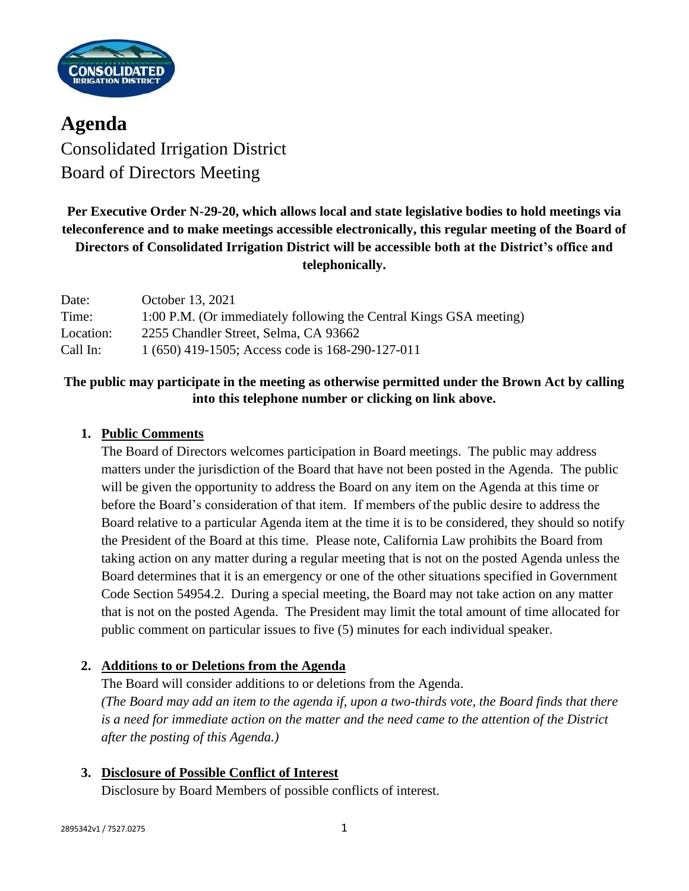

**Agenda** Consolidated Irrigation District Board of Directors Meeting

# **Per Executive Order N-29-20, which allows local and state legislative bodies to hold meetings via teleconference and to make meetings accessible electronically, this regular meeting of the Board of Directors of Consolidated Irrigation District will be accessible both at the District's office and telephonically.**

| Date:     | October 13, 2021                                                   |
|-----------|--------------------------------------------------------------------|
| Time:     | 1:00 P.M. (Or immediately following the Central Kings GSA meeting) |
| Location: | 2255 Chandler Street, Selma, CA 93662                              |
| Call In:  | 1 (650) 419-1505; Access code is 168-290-127-011                   |

# **The public may participate in the meeting as otherwise permitted under the Brown Act by calling into this telephone number or clicking on link above.**

## **1. Public Comments**

The Board of Directors welcomes participation in Board meetings. The public may address matters under the jurisdiction of the Board that have not been posted in the Agenda. The public will be given the opportunity to address the Board on any item on the Agenda at this time or before the Board's consideration of that item. If members of the public desire to address the Board relative to a particular Agenda item at the time it is to be considered, they should so notify the President of the Board at this time. Please note, California Law prohibits the Board from taking action on any matter during a regular meeting that is not on the posted Agenda unless the Board determines that it is an emergency or one of the other situations specified in Government Code Section 54954.2. During a special meeting, the Board may not take action on any matter that is not on the posted Agenda. The President may limit the total amount of time allocated for public comment on particular issues to five (5) minutes for each individual speaker.

# **2. Additions to or Deletions from the Agenda**

The Board will consider additions to or deletions from the Agenda. *(The Board may add an item to the agenda if, upon a two-thirds vote, the Board finds that there is a need for immediate action on the matter and the need came to the attention of the District after the posting of this Agenda.)*

**3. Disclosure of Possible Conflict of Interest**

Disclosure by Board Members of possible conflicts of interest.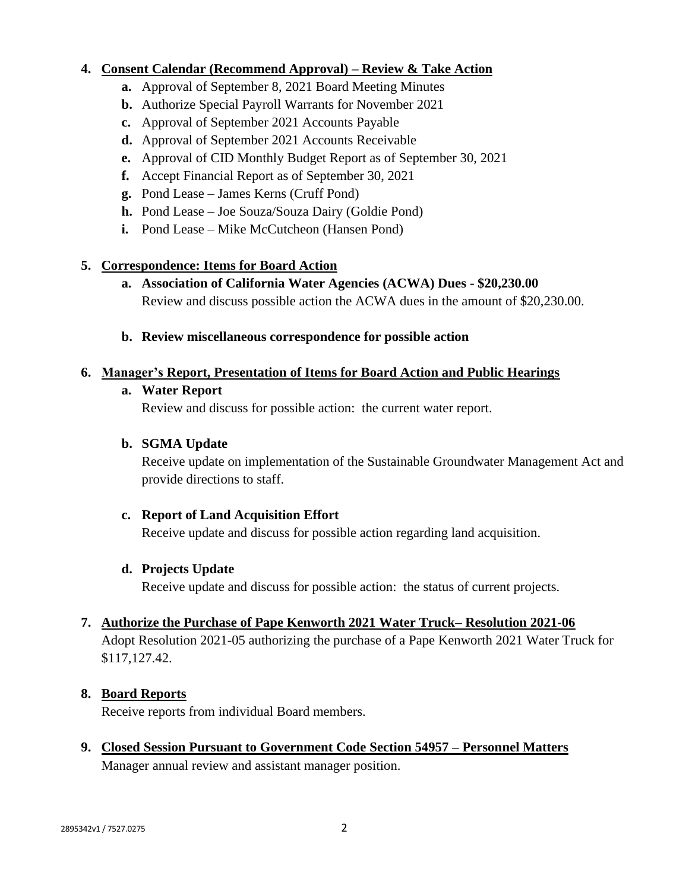### **4. Consent Calendar (Recommend Approval) – Review & Take Action**

- **a.** Approval of September 8, 2021 Board Meeting Minutes
- **b.** Authorize Special Payroll Warrants for November 2021
- **c.** Approval of September 2021 Accounts Payable
- **d.** Approval of September 2021 Accounts Receivable
- **e.** Approval of CID Monthly Budget Report as of September 30, 2021
- **f.** Accept Financial Report as of September 30, 2021
- **g.** Pond Lease James Kerns (Cruff Pond)
- **h.** Pond Lease Joe Souza/Souza Dairy (Goldie Pond)
- **i.** Pond Lease Mike McCutcheon (Hansen Pond)

#### **5. Correspondence: Items for Board Action**

- **a. Association of California Water Agencies (ACWA) Dues - \$20,230.00** Review and discuss possible action the ACWA dues in the amount of \$20,230.00.
- **b. Review miscellaneous correspondence for possible action**

#### **6. Manager's Report, Presentation of Items for Board Action and Public Hearings**

#### **a. Water Report**

Review and discuss for possible action: the current water report.

#### **b. SGMA Update**

Receive update on implementation of the Sustainable Groundwater Management Act and provide directions to staff.

#### **c. Report of Land Acquisition Effort**

Receive update and discuss for possible action regarding land acquisition.

#### **d. Projects Update**

Receive update and discuss for possible action: the status of current projects.

# **7. Authorize the Purchase of Pape Kenworth 2021 Water Truck– Resolution 2021-06**

Adopt Resolution 2021-05 authorizing the purchase of a Pape Kenworth 2021 Water Truck for \$117,127.42.

#### **8. Board Reports**

Receive reports from individual Board members.

**9. Closed Session Pursuant to Government Code Section 54957 – Personnel Matters** Manager annual review and assistant manager position.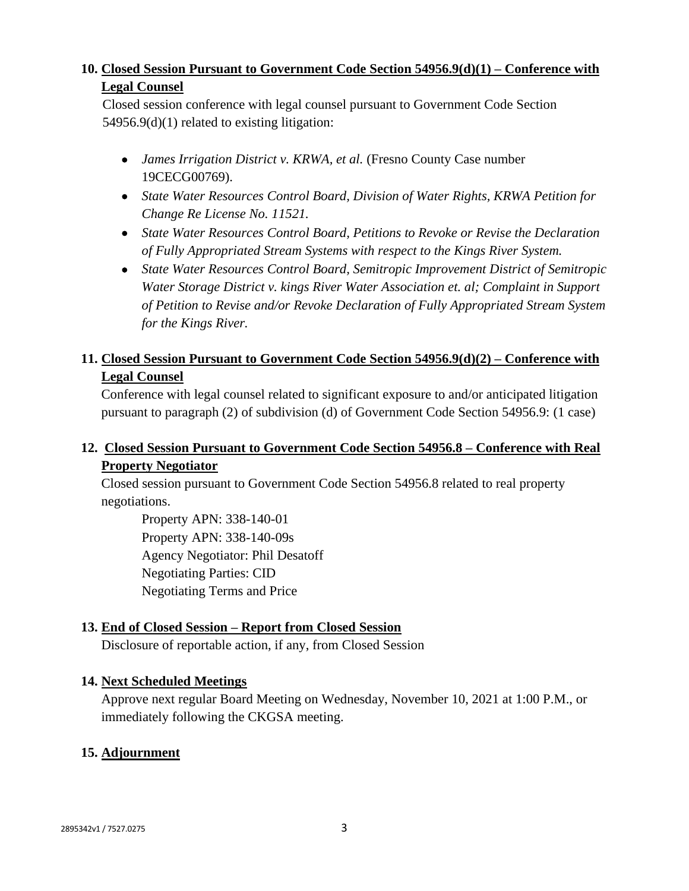## **10. Closed Session Pursuant to Government Code Section 54956.9(d)(1) – Conference with Legal Counsel**

Closed session conference with legal counsel pursuant to Government Code Section 54956.9(d)(1) related to existing litigation:

- *James Irrigation District v. KRWA, et al.* (Fresno County Case number 19CECG00769).
- *State Water Resources Control Board, Division of Water Rights, KRWA Petition for Change Re License No. 11521.*
- *State Water Resources Control Board, Petitions to Revoke or Revise the Declaration of Fully Appropriated Stream Systems with respect to the Kings River System.*
- *State Water Resources Control Board, Semitropic Improvement District of Semitropic Water Storage District v. kings River Water Association et. al; Complaint in Support of Petition to Revise and/or Revoke Declaration of Fully Appropriated Stream System for the Kings River.*

# **11. Closed Session Pursuant to Government Code Section 54956.9(d)(2) – Conference with Legal Counsel**

Conference with legal counsel related to significant exposure to and/or anticipated litigation pursuant to paragraph (2) of subdivision (d) of Government Code Section 54956.9: (1 case)

# **12. Closed Session Pursuant to Government Code Section 54956.8 – Conference with Real Property Negotiator**

Closed session pursuant to Government Code Section 54956.8 related to real property negotiations.

Property APN: 338-140-01 Property APN: 338-140-09s Agency Negotiator: Phil Desatoff Negotiating Parties: CID Negotiating Terms and Price

# **13. End of Closed Session – Report from Closed Session**

Disclosure of reportable action, if any, from Closed Session

### **14. Next Scheduled Meetings**

Approve next regular Board Meeting on Wednesday, November 10, 2021 at 1:00 P.M., or immediately following the CKGSA meeting.

# **15. Adjournment**